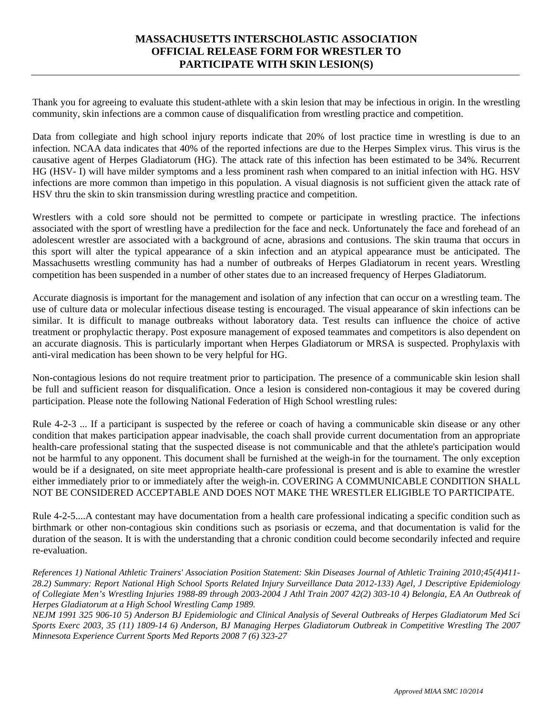## **MASSACHUSETTS INTERSCHOLASTIC ASSOCIATION OFFICIAL RELEASE FORM FOR WRESTLER TO PARTICIPATE WITH SKIN LESION(S)**

Thank you for agreeing to evaluate this student-athlete with a skin lesion that may be infectious in origin. In the wrestling community, skin infections are a common cause of disqualification from wrestling practice and competition.

Data from collegiate and high school injury reports indicate that 20% of lost practice time in wrestling is due to an infection. NCAA data indicates that 40% of the reported infections are due to the Herpes Simplex virus. This virus is the causative agent of Herpes Gladiatorum (HG). The attack rate of this infection has been estimated to be 34%. Recurrent HG (HSV- I) will have milder symptoms and a less prominent rash when compared to an initial infection with HG. HSV infections are more common than impetigo in this population. A visual diagnosis is not sufficient given the attack rate of HSV thru the skin to skin transmission during wrestling practice and competition.

Wrestlers with a cold sore should not be permitted to compete or participate in wrestling practice. The infections associated with the sport of wrestling have a predilection for the face and neck. Unfortunately the face and forehead of an adolescent wrestler are associated with a background of acne, abrasions and contusions. The skin trauma that occurs in this sport will alter the typical appearance of a skin infection and an atypical appearance must be anticipated. The Massachusetts wrestling community has had a number of outbreaks of Herpes Gladiatorum in recent years. Wrestling competition has been suspended in a number of other states due to an increased frequency of Herpes Gladiatorum.

Accurate diagnosis is important for the management and isolation of any infection that can occur on a wrestling team. The use of culture data or molecular infectious disease testing is encouraged. The visual appearance of skin infections can be similar. It is difficult to manage outbreaks without laboratory data. Test results can influence the choice of active treatment or prophylactic therapy. Post exposure management of exposed teammates and competitors is also dependent on an accurate diagnosis. This is particularly important when Herpes Gladiatorum or MRSA is suspected. Prophylaxis with anti-viral medication has been shown to be very helpful for HG.

Non-contagious lesions do not require treatment prior to participation. The presence of a communicable skin lesion shall be full and sufficient reason for disqualification. Once a lesion is considered non-contagious it may be covered during participation. Please note the following National Federation of High School wrestling rules:

Rule 4-2-3 ... If a participant is suspected by the referee or coach of having a communicable skin disease or any other condition that makes participation appear inadvisable, the coach shall provide current documentation from an appropriate health-care professional stating that the suspected disease is not communicable and that the athlete's participation would not be harmful to any opponent. This document shall be furnished at the weigh-in for the tournament. The only exception would be if a designated, on site meet appropriate health-care professional is present and is able to examine the wrestler either immediately prior to or immediately after the weigh-in. COVERING A COMMUNICABLE CONDITION SHALL NOT BE CONSIDERED ACCEPTABLE AND DOES NOT MAKE THE WRESTLER ELIGIBLE TO PARTICIPATE.

Rule 4-2-5....A contestant may have documentation from a health care professional indicating a specific condition such as birthmark or other non-contagious skin conditions such as psoriasis or eczema, and that documentation is valid for the duration of the season. It is with the understanding that a chronic condition could become secondarily infected and require re-evaluation.

*References 1) National Athletic Trainers' Association Position Statement: Skin Diseases Journal of Athletic Training 2010;45(4)411- 28.2) Summary: Report National High School Sports Related Injury Surveillance Data 2012-133) Agel, J Descriptive Epidemiology of Collegiate Men's Wrestling Injuries 1988-89 through 2003-2004 J Athl Train 2007 42(2) 303-10 4) Belongia, EA An Outbreak of Herpes Gladiatorum at a High School Wrestling Camp 1989.* 

*NEJM 1991 325 906-10 5) Anderson BJ Epidemiologic and Clinical Analysis of Several Outbreaks of Herpes Gladiatorum Med Sci Sports Exerc 2003, 35 (11) 1809-14 6) Anderson, BJ Managing Herpes Gladiatorum Outbreak in Competitive Wrestling The 2007 Minnesota Experience Current Sports Med Reports 2008 7 (6) 323-27*